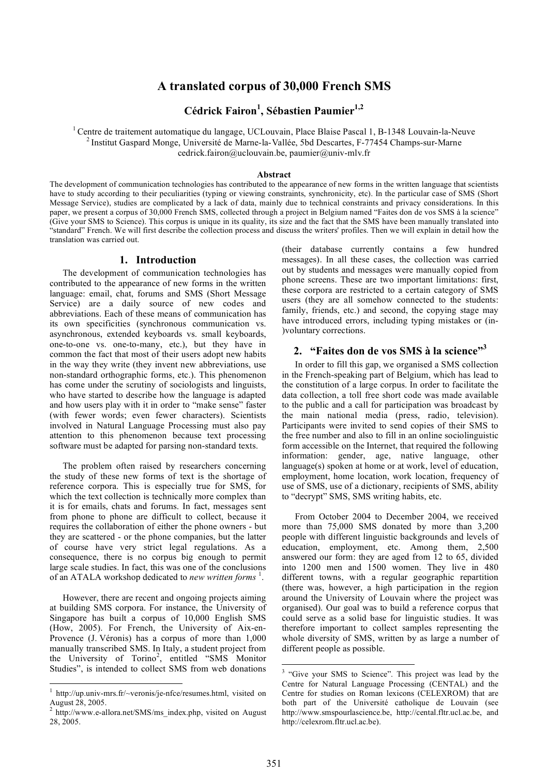# **A translated corpus of 30,000 French SMS**

# **Cédrick Fairon<sup>1</sup> , Sébastien Paumier 1,2**

<sup>1</sup> Centre de traitement automatique du langage, UCLouvain, Place Blaise Pascal 1, B-1348 Louvain-la-Neuve <sup>2</sup> Institut Gaspard Monge, Université de Marne-la-Vallée, 5bd Descartes, F-77454 Champs-sur-Marne cedrick.fairon@uclouvain.be, paumier@univ-mlv.fr

#### **Abstract**

The development of communication technologies has contributed to the appearance of new forms in the written language that scientists have to study according to their peculiarities (typing or viewing constraints, synchronicity, etc). In the particular case of SMS (Short Message Service), studies are complicated by a lack of data, mainly due to technical constraints and privacy considerations. In this paper, we present a corpus of 30,000 French SMS, collected through a project in Belgium named "Faites don de vos SMS à la science" (Give your SMS to Science). This corpus is unique in its quality, its size and the fact that the SMS have been manually translated into "standard" French. We will first describe the collection process and discuss the writers' profiles. Then we will explain in detail how the translation was carried out.

# **1. Introduction**

The development of communication technologies has contributed to the appearance of new forms in the written language: email, chat, forums and SMS (Short Message Service) are a daily source of new codes and abbreviations. Each of these means of communication has its own specificities (synchronous communication vs. asynchronous, extended keyboards vs. small keyboards, one-to-one vs. one-to-many, etc.), but they have in common the fact that most of their users adopt new habits in the way they write (they invent new abbreviations, use non-standard orthographic forms, etc.). This phenomenon has come under the scrutiny of sociologists and linguists, who have started to describe how the language is adapted and how users play with it in order to "make sense" faster (with fewer words; even fewer characters). Scientists involved in Natural Language Processing must also pay attention to this phenomenon because text processing software must be adapted for parsing non-standard texts.

The problem often raised by researchers concerning the study of these new forms of text is the shortage of reference corpora. This is especially true for SMS, for which the text collection is technically more complex than it is for emails, chats and forums. In fact, messages sent from phone to phone are difficult to collect, because it requires the collaboration of either the phone owners - but they are scattered - or the phone companies, but the latter of course have very strict legal regulations. As a consequence, there is no corpus big enough to permit large scale studies. In fact, this was one of the conclusions of an ATALA workshop dedicated to *new written forms*<sup>1</sup>.

However, there are recent and ongoing projects aiming at building SMS corpora. For instance, the University of Singapore has built a corpus of 10,000 English SMS (How, 2005). For French, the University of Aix-en-Provence (J. Véronis) has a corpus of more than 1,000 manually transcribed SMS. In Italy, a student project from the University of Torino<sup>2</sup>, entitled "SMS Monitor Studies", is intended to collect SMS from web donations (their database currently contains a few hundred messages). In all these cases, the collection was carried out by students and messages were manually copied from phone screens. These are two important limitations: first, these corpora are restricted to a certain category of SMS users (they are all somehow connected to the students: family, friends, etc.) and second, the copying stage may have introduced errors, including typing mistakes or (in- )voluntary corrections.

# **2. "Faites don de vos SMS à la science"3**

In order to fill this gap, we organised a SMS collection in the French-speaking part of Belgium, which has lead to the constitution of a large corpus. In order to facilitate the data collection, a toll free short code was made available to the public and a call for participation was broadcast by the main national media (press, radio, television). Participants were invited to send copies of their SMS to the free number and also to fill in an online sociolinguistic form accessible on the Internet, that required the following information: gender, age, native language, other language(s) spoken at home or at work, level of education, employment, home location, work location, frequency of use of SMS, use of a dictionary, recipients of SMS, ability to "decrypt" SMS, SMS writing habits, etc.

From October 2004 to December 2004, we received more than 75,000 SMS donated by more than 3,200 people with different linguistic backgrounds and levels of education, employment, etc. Among them, 2,500 answered our form: they are aged from 12 to 65, divided into 1200 men and 1500 women. They live in 480 different towns, with a regular geographic repartition (there was, however, a high participation in the region around the University of Louvain where the project was organised). Our goal was to build a reference corpus that could serve as a solid base for linguistic studies. It was therefore important to collect samples representing the whole diversity of SMS, written by as large a number of different people as possible.

<sup>&</sup>lt;sup>1</sup> http://up.univ-mrs.fr/~veronis/je-nfce/resumes.html, visited on<br>August 28, 2005.

http://www.e-allora.net/SMS/ms\_index.php, visited on August 28, 2005.

 <sup>3</sup> "Give your SMS to Science". This project was lead by the Centre for Natural Language Processing (CENTAL) and the Centre for studies on Roman lexicons (CELEXROM) that are both part of the Université catholique de Louvain (see http://www.smspourlascience.be, http://cental.fltr.ucl.ac.be, and http://celexrom.fltr.ucl.ac.be).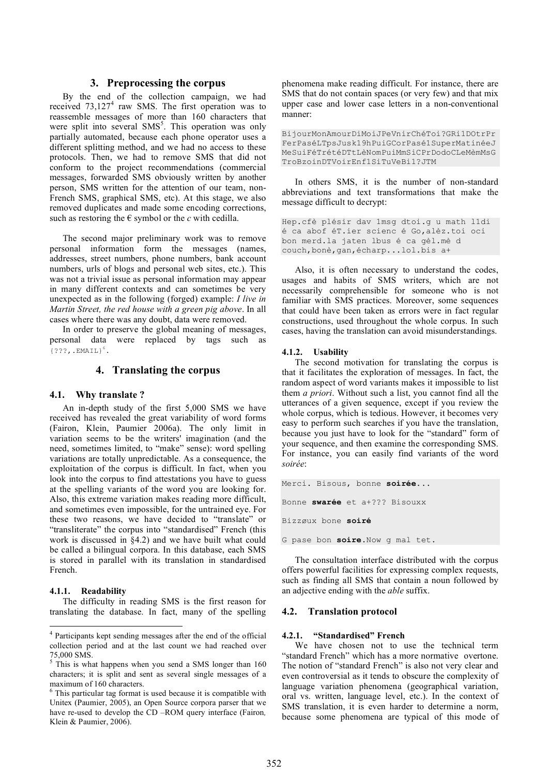# **3. Preprocessing the corpus**

By the end of the collection campaign, we had received  $73,127<sup>4</sup>$  raw SMS. The first operation was to reassemble messages of more than 160 characters that were split into several  $SMS<sup>5</sup>$ . This operation was only partially automated, because each phone operator uses a different splitting method, and we had no access to these protocols. Then, we had to remove SMS that did not conform to the project recommendations (commercial messages, forwarded SMS obviously written by another person, SMS written for the attention of our team, non-French SMS, graphical SMS, etc). At this stage, we also removed duplicates and made some encoding corrections, such as restoring the  $\epsilon$  symbol or the *c* with cedilla.

The second major preliminary work was to remove personal information form the messages (names, addresses, street numbers, phone numbers, bank account numbers, urls of blogs and personal web sites, etc.). This was not a trivial issue as personal information may appear in many different contexts and can sometimes be very unexpected as in the following (forged) example: *I live in Martin Street, the red house with a green pig above*. In all cases where there was any doubt, data were removed.

In order to preserve the global meaning of messages, personal data were replaced by tags such as  ${? ? ?$ , . EMAIL $}^6$ .

# **4. Translating the corpus**

#### **4.1. Why translate ?**

An in-depth study of the first 5,000 SMS we have received has revealed the great variability of word forms (Fairon, Klein, Paumier 2006a). The only limit in variation seems to be the writers' imagination (and the need, sometimes limited, to "make" sense): word spelling variations are totally unpredictable. As a consequence, the exploitation of the corpus is difficult. In fact, when you look into the corpus to find attestations you have to guess at the spelling variants of the word you are looking for. Also, this extreme variation makes reading more difficult, and sometimes even impossible, for the untrained eye. For these two reasons, we have decided to "translate" or "transliterate" the corpus into "standardised" French (this work is discussed in §4.2) and we have built what could be called a bilingual corpora. In this database, each SMS is stored in parallel with its translation in standardised French.

#### **4.1.1. Readability**

The difficulty in reading SMS is the first reason for translating the database. In fact, many of the spelling phenomena make reading difficult. For instance, there are SMS that do not contain spaces (or very few) and that mix upper case and lower case letters in a non-conventional manner:

BijourMonAmourDiMoiJPeVnirChéToi?GRi1DOtrPr FerPaséLTpsJusk19hPuiGCorPasé1SuperMatinéeJ MeSuiFéTrétéDTtLèNomPuiMmSiCPrDodoCLeMèmMsG TroBzoinDTVoirEnf1SiTuVeBi1?JTM

In others SMS, it is the number of non-standard abbreviations and text transformations that make the message difficult to decrypt:

Hep.cfè plésir dav 1msg dtoi.g u math l1di é ca abof éT.ier scienc é Go,alèz.toi oci bon merd.la jaten lbus é ca gèl.mè d couch,bonè,gan,écharp...lol.bis a+

Also, it is often necessary to understand the codes, usages and habits of SMS writers, which are not necessarily comprehensible for someone who is not familiar with SMS practices. Moreover, some sequences that could have been taken as errors were in fact regular constructions, used throughout the whole corpus. In such cases, having the translation can avoid misunderstandings.

#### **4.1.2. Usability**

The second motivation for translating the corpus is that it facilitates the exploration of messages. In fact, the random aspect of word variants makes it impossible to list them *a priori*. Without such a list, you cannot find all the utterances of a given sequence, except if you review the whole corpus, which is tedious. However, it becomes very easy to perform such searches if you have the translation, because you just have to look for the "standard" form of your sequence, and then examine the corresponding SMS. For instance, you can easily find variants of the word *soirée*:

```
Merci. Bisous, bonne soirée...
Bonne swarée et a+??? Bisouxx
Bizzøux bone soiré
```
G pase bon **soire**.Now g mal tet.

The consultation interface distributed with the corpus offers powerful facilities for expressing complex requests, such as finding all SMS that contain a noun followed by an adjective ending with the *able* suffix.

#### **4.2. Translation protocol**

### **4.2.1. "Standardised" French**

We have chosen not to use the technical term "standard French" which has a more normative overtone. The notion of "standard French" is also not very clear and even controversial as it tends to obscure the complexity of language variation phenomena (geographical variation, oral vs. written, language level, etc.). In the context of SMS translation, it is even harder to determine a norm, because some phenomena are typical of this mode of

 <sup>4</sup> Participants kept sending messages after the end of the official collection period and at the last count we had reached over

<sup>75,000</sup> SMS.<br> $5$  This is what happens when you send a SMS longer than 160 characters; it is split and sent as several single messages of a

 $6\text{ This particular tag format is used because it is compatible with }$ Unitex (Paumier, 2005), an Open Source corpora parser that we have re-used to develop the CD –ROM query interface (Fairon*,* Klein & Paumier, 2006).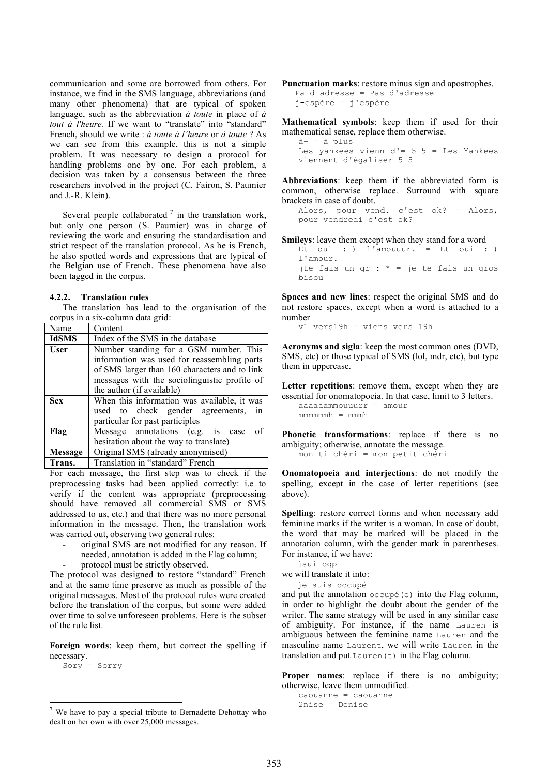communication and some are borrowed from others. For instance, we find in the SMS language, abbreviations (and many other phenomena) that are typical of spoken language, such as the abbreviation *à toute* in place of *à tout à l'heure.* If we want to "translate" into "standard" French, should we write : *à toute à l'heure* or *à toute* ? As we can see from this example, this is not a simple problem. It was necessary to design a protocol for handling problems one by one. For each problem, a decision was taken by a consensus between the three researchers involved in the project (C. Fairon, S. Paumier and J.-R. Klein).

Several people collaborated  $\frac{7}{1}$  in the translation work, but only one person (S. Paumier) was in charge of reviewing the work and ensuring the standardisation and strict respect of the translation protocol. As he is French, he also spotted words and expressions that are typical of the Belgian use of French. These phenomena have also been tagged in the corpus.

#### **4.2.2. Translation rules**

The translation has lead to the organisation of the corpus in a six-column data grid:

| Name         | Content                                       |
|--------------|-----------------------------------------------|
| <b>IdSMS</b> | Index of the SMS in the database              |
| <b>User</b>  | Number standing for a GSM number. This        |
|              | information was used for reassembling parts   |
|              | of SMS larger than 160 characters and to link |
|              | messages with the sociolinguistic profile of  |
|              | the author (if available)                     |
| <b>Sex</b>   | When this information was available, it was   |
|              | used to check gender agreements,<br>1n        |
|              | particular for past participles               |
| Flag         | Message annotations (e.g. is case<br>οf       |
|              | hesitation about the way to translate)        |
| Message      | Original SMS (already anonymised)             |
| Trans.       | Translation in "standard" French              |

For each message, the first step was to check if the preprocessing tasks had been applied correctly: i.e to verify if the content was appropriate (preprocessing should have removed all commercial SMS or SMS addressed to us, etc.) and that there was no more personal information in the message. Then, the translation work was carried out, observing two general rules:

- original SMS are not modified for any reason. If needed, annotation is added in the Flag column;
	- protocol must be strictly observed.

The protocol was designed to restore "standard" French and at the same time preserve as much as possible of the original messages. Most of the protocol rules were created before the translation of the corpus, but some were added over time to solve unforeseen problems. Here is the subset of the rule list.

**Foreign words**: keep them, but correct the spelling if necessary.

Sory = Sorry

**Punctuation marks**: restore minus sign and apostrophes. Pa d adresse = Pas d'adresse

j**-**espère = j'espère

**Mathematical symbols**: keep them if used for their mathematical sense, replace them otherwise.

à+ = à plus Les yankees vienn d'= 5-5 = Les Yankees viennent d'égaliser 5-5

**Abbreviations**: keep them if the abbreviated form is common, otherwise replace. Surround with square brackets in case of doubt.

```
Alors, pour vend. c'est ok? = Alors,
pour vendredi c'est ok?
```
**Smileys**: leave them except when they stand for a word Et oui :-) l'amouuur. = Et oui :-) l'amour. jte fais un gr  $: -* =$  je te fais un gros bisou

**Spaces and new lines**: respect the original SMS and do not restore spaces, except when a word is attached to a number

v1 vers19h = viens vers 19h

**Acronyms and sigla**: keep the most common ones (DVD, SMS, etc) or those typical of SMS (lol, mdr, etc), but type them in uppercase.

Letter **repetitions**: remove them, except when they are essential for onomatopoeia. In that case, limit to 3 letters.

aaaaaammouuurr = amour  $mmmmh = mmmh$ 

**Phonetic transformations**: replace if there is no ambiguity; otherwise, annotate the message. mon ti chéri = mon petit chéri

**Onomatopoeia and interjections**: do not modify the

spelling, except in the case of letter repetitions (see above).

**Spelling**: restore correct forms and when necessary add feminine marks if the writer is a woman. In case of doubt, the word that may be marked will be placed in the annotation column, with the gender mark in parentheses. For instance, if we have:

jsui oqp

we will translate it into:

je suis occupé

and put the annotation  $\phi$  occupé(e) into the Flag column, in order to highlight the doubt about the gender of the writer. The same strategy will be used in any similar case of ambiguity. For instance, if the name Lauren is ambiguous between the feminine name Lauren and the masculine name Laurent, we will write Lauren in the translation and put  $\text{Lauren}(t)$  in the Flag column.

**Proper names**: replace if there is no ambiguity; otherwise, leave them unmodified.

```
caouanne = caouanne
2nise = Denise
```
We have to pay a special tribute to Bernadette Dehottay who dealt on her own with over 25,000 messages.